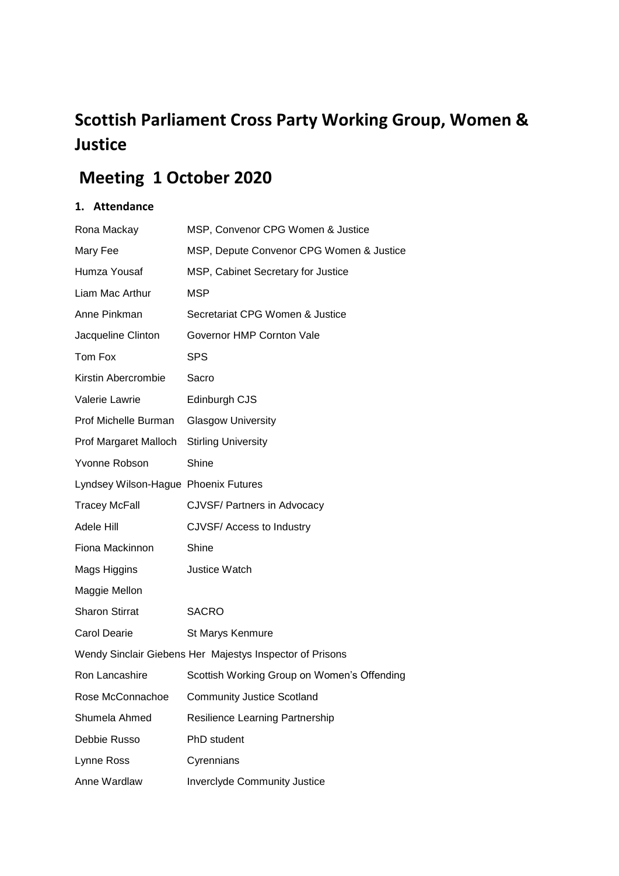# **Scottish Parliament Cross Party Working Group, Women & Justice**

# **Meeting 1 October 2020**

# **1. Attendance**

| Rona Mackay                          | MSP, Convenor CPG Women & Justice                        |
|--------------------------------------|----------------------------------------------------------|
| Mary Fee                             | MSP, Depute Convenor CPG Women & Justice                 |
| Humza Yousaf                         | MSP, Cabinet Secretary for Justice                       |
| Liam Mac Arthur                      | <b>MSP</b>                                               |
| Anne Pinkman                         | Secretariat CPG Women & Justice                          |
| Jacqueline Clinton                   | Governor HMP Cornton Vale                                |
| Tom Fox                              | <b>SPS</b>                                               |
| Kirstin Abercrombie                  | Sacro                                                    |
| Valerie Lawrie                       | Edinburgh CJS                                            |
| Prof Michelle Burman                 | <b>Glasgow University</b>                                |
| Prof Margaret Malloch                | <b>Stirling University</b>                               |
| Yvonne Robson                        | Shine                                                    |
| Lyndsey Wilson-Hague Phoenix Futures |                                                          |
| <b>Tracey McFall</b>                 | <b>CJVSF/ Partners in Advocacy</b>                       |
| Adele Hill                           | CJVSF/ Access to Industry                                |
| Fiona Mackinnon                      | Shine                                                    |
| Mags Higgins                         | Justice Watch                                            |
| Maggie Mellon                        |                                                          |
| <b>Sharon Stirrat</b>                | <b>SACRO</b>                                             |
| <b>Carol Dearie</b>                  | St Marys Kenmure                                         |
|                                      | Wendy Sinclair Giebens Her Majestys Inspector of Prisons |
| Ron Lancashire                       | Scottish Working Group on Women's Offending              |
| Rose McConnachoe                     | <b>Community Justice Scotland</b>                        |
| Shumela Ahmed                        | Resilience Learning Partnership                          |
| Debbie Russo                         | PhD student                                              |
| Lynne Ross                           | Cyrennians                                               |
| Anne Wardlaw                         | <b>Inverclyde Community Justice</b>                      |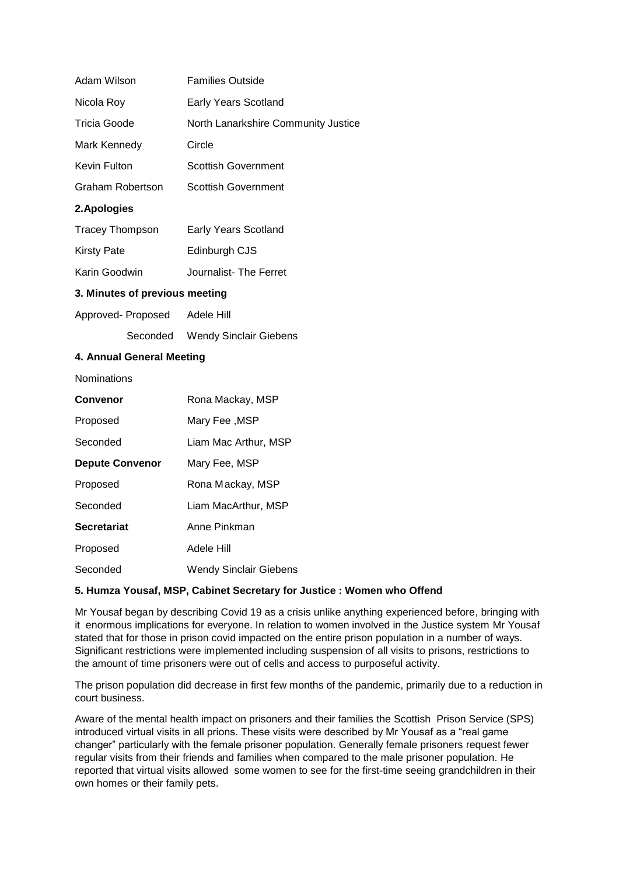| Adam Wilson                    | <b>Families Outside</b>             |
|--------------------------------|-------------------------------------|
| Nicola Roy                     | <b>Early Years Scotland</b>         |
| <b>Tricia Goode</b>            | North Lanarkshire Community Justice |
| Mark Kennedy                   | Circle                              |
| Kevin Fulton                   | <b>Scottish Government</b>          |
| <b>Graham Robertson</b>        | <b>Scottish Government</b>          |
| 2. Apologies                   |                                     |
| <b>Tracey Thompson</b>         | <b>Early Years Scotland</b>         |
| <b>Kirsty Pate</b>             | Edinburgh CJS                       |
| Karin Goodwin                  | Journalist-The Ferret               |
| 3. Minutes of previous meeting |                                     |
| Approved- Proposed Adele Hill  |                                     |
|                                | Seconded Wendy Sinclair Giebens     |
| 4. Annual General Meeting      |                                     |
| Nominations                    |                                     |
| Convenor                       | Rona Mackay, MSP                    |
| Proposed                       | Mary Fee, MSP                       |
| Seconded                       | Liam Mac Arthur, MSP                |
| <b>Depute Convenor</b>         | Mary Fee, MSP                       |
| Proposed                       | Rona Mackay, MSP                    |
| Seconded                       | Liam MacArthur, MSP                 |
| <b>Secretariat</b>             | Anne Pinkman                        |
| Proposed                       | Adele Hill                          |

## **5. Humza Yousaf, MSP, Cabinet Secretary for Justice : Women who Offend**

Seconded Wendy Sinclair Giebens

Mr Yousaf began by describing Covid 19 as a crisis unlike anything experienced before, bringing with it enormous implications for everyone. In relation to women involved in the Justice system Mr Yousaf stated that for those in prison covid impacted on the entire prison population in a number of ways. Significant restrictions were implemented including suspension of all visits to prisons, restrictions to the amount of time prisoners were out of cells and access to purposeful activity.

The prison population did decrease in first few months of the pandemic, primarily due to a reduction in court business.

Aware of the mental health impact on prisoners and their families the Scottish Prison Service (SPS) introduced virtual visits in all prions. These visits were described by Mr Yousaf as a "real game changer" particularly with the female prisoner population. Generally female prisoners request fewer regular visits from their friends and families when compared to the male prisoner population. He reported that virtual visits allowed some women to see for the first-time seeing grandchildren in their own homes or their family pets.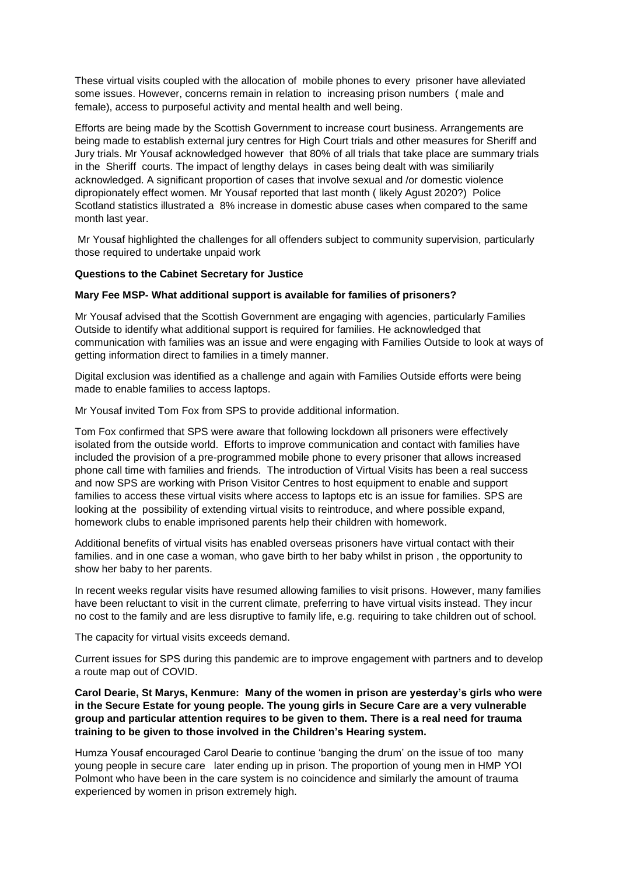These virtual visits coupled with the allocation of mobile phones to every prisoner have alleviated some issues. However, concerns remain in relation to increasing prison numbers ( male and female), access to purposeful activity and mental health and well being.

Efforts are being made by the Scottish Government to increase court business. Arrangements are being made to establish external jury centres for High Court trials and other measures for Sheriff and Jury trials. Mr Yousaf acknowledged however that 80% of all trials that take place are summary trials in the Sheriff courts. The impact of lengthy delays in cases being dealt with was similiarily acknowledged. A significant proportion of cases that involve sexual and /or domestic violence dipropionately effect women. Mr Yousaf reported that last month ( likely Agust 2020?) Police Scotland statistics illustrated a 8% increase in domestic abuse cases when compared to the same month last year.

Mr Yousaf highlighted the challenges for all offenders subject to community supervision, particularly those required to undertake unpaid work

#### **Questions to the Cabinet Secretary for Justice**

#### **Mary Fee MSP- What additional support is available for families of prisoners?**

Mr Yousaf advised that the Scottish Government are engaging with agencies, particularly Families Outside to identify what additional support is required for families. He acknowledged that communication with families was an issue and were engaging with Families Outside to look at ways of getting information direct to families in a timely manner.

Digital exclusion was identified as a challenge and again with Families Outside efforts were being made to enable families to access laptops.

Mr Yousaf invited Tom Fox from SPS to provide additional information.

Tom Fox confirmed that SPS were aware that following lockdown all prisoners were effectively isolated from the outside world. Efforts to improve communication and contact with families have included the provision of a pre-programmed mobile phone to every prisoner that allows increased phone call time with families and friends. The introduction of Virtual Visits has been a real success and now SPS are working with Prison Visitor Centres to host equipment to enable and support families to access these virtual visits where access to laptops etc is an issue for families. SPS are looking at the possibility of extending virtual visits to reintroduce, and where possible expand, homework clubs to enable imprisoned parents help their children with homework.

Additional benefits of virtual visits has enabled overseas prisoners have virtual contact with their families. and in one case a woman, who gave birth to her baby whilst in prison , the opportunity to show her baby to her parents.

In recent weeks regular visits have resumed allowing families to visit prisons. However, many families have been reluctant to visit in the current climate, preferring to have virtual visits instead. They incur no cost to the family and are less disruptive to family life, e.g. requiring to take children out of school.

The capacity for virtual visits exceeds demand.

Current issues for SPS during this pandemic are to improve engagement with partners and to develop a route map out of COVID.

**Carol Dearie, St Marys, Kenmure: Many of the women in prison are yesterday's girls who were in the Secure Estate for young people. The young girls in Secure Care are a very vulnerable group and particular attention requires to be given to them. There is a real need for trauma training to be given to those involved in the Children's Hearing system.**

Humza Yousaf encouraged Carol Dearie to continue 'banging the drum' on the issue of too many young people in secure care later ending up in prison. The proportion of young men in HMP YOI Polmont who have been in the care system is no coincidence and similarly the amount of trauma experienced by women in prison extremely high.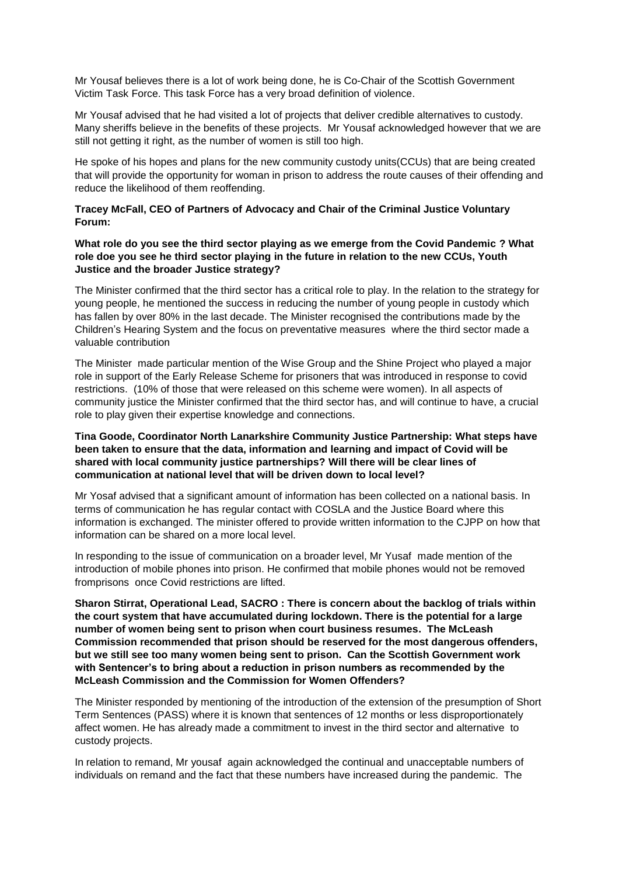Mr Yousaf believes there is a lot of work being done, he is Co-Chair of the Scottish Government Victim Task Force. This task Force has a very broad definition of violence.

Mr Yousaf advised that he had visited a lot of projects that deliver credible alternatives to custody. Many sheriffs believe in the benefits of these projects. Mr Yousaf acknowledged however that we are still not getting it right, as the number of women is still too high.

He spoke of his hopes and plans for the new community custody units(CCUs) that are being created that will provide the opportunity for woman in prison to address the route causes of their offending and reduce the likelihood of them reoffending.

#### **Tracey McFall, CEO of Partners of Advocacy and Chair of the Criminal Justice Voluntary Forum:**

**What role do you see the third sector playing as we emerge from the Covid Pandemic ? What role doe you see he third sector playing in the future in relation to the new CCUs, Youth Justice and the broader Justice strategy?**

The Minister confirmed that the third sector has a critical role to play. In the relation to the strategy for young people, he mentioned the success in reducing the number of young people in custody which has fallen by over 80% in the last decade. The Minister recognised the contributions made by the Children's Hearing System and the focus on preventative measures where the third sector made a valuable contribution

The Minister made particular mention of the Wise Group and the Shine Project who played a major role in support of the Early Release Scheme for prisoners that was introduced in response to covid restrictions. (10% of those that were released on this scheme were women). In all aspects of community justice the Minister confirmed that the third sector has, and will continue to have, a crucial role to play given their expertise knowledge and connections.

#### **Tina Goode, Coordinator North Lanarkshire Community Justice Partnership: What steps have been taken to ensure that the data, information and learning and impact of Covid will be shared with local community justice partnerships? Will there will be clear lines of communication at national level that will be driven down to local level?**

Mr Yosaf advised that a significant amount of information has been collected on a national basis. In terms of communication he has regular contact with COSLA and the Justice Board where this information is exchanged. The minister offered to provide written information to the CJPP on how that information can be shared on a more local level.

In responding to the issue of communication on a broader level, Mr Yusaf made mention of the introduction of mobile phones into prison. He confirmed that mobile phones would not be removed fromprisons once Covid restrictions are lifted.

**Sharon Stirrat, Operational Lead, SACRO : There is concern about the backlog of trials within the court system that have accumulated during lockdown. There is the potential for a large number of women being sent to prison when court business resumes. The McLeash Commission recommended that prison should be reserved for the most dangerous offenders, but we still see too many women being sent to prison. Can the Scottish Government work with Sentencer's to bring about a reduction in prison numbers as recommended by the McLeash Commission and the Commission for Women Offenders?**

The Minister responded by mentioning of the introduction of the extension of the presumption of Short Term Sentences (PASS) where it is known that sentences of 12 months or less disproportionately affect women. He has already made a commitment to invest in the third sector and alternative to custody projects.

In relation to remand, Mr yousaf again acknowledged the continual and unacceptable numbers of individuals on remand and the fact that these numbers have increased during the pandemic. The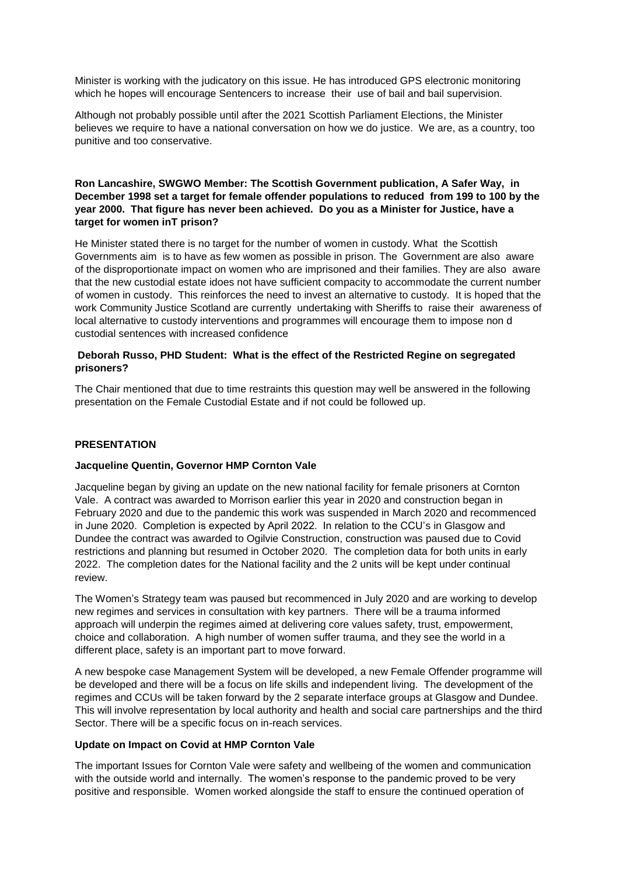Minister is working with the judicatory on this issue. He has introduced GPS electronic monitoring which he hopes will encourage Sentencers to increase their use of bail and bail supervision.

Although not probably possible until after the 2021 Scottish Parliament Elections, the Minister believes we require to have a national conversation on how we do justice. We are, as a country, too punitive and too conservative.

## **Ron Lancashire, SWGWO Member: The Scottish Government publication, A Safer Way, in December 1998 set a target for female offender populations to reduced from 199 to 100 by the year 2000. That figure has never been achieved. Do you as a Minister for Justice, have a target for women inT prison?**

He Minister stated there is no target for the number of women in custody. What the Scottish Governments aim is to have as few women as possible in prison. The Government are also aware of the disproportionate impact on women who are imprisoned and their families. They are also aware that the new custodial estate idoes not have sufficient compacity to accommodate the current number of women in custody. This reinforces the need to invest an alternative to custody. It is hoped that the work Community Justice Scotland are currently undertaking with Sheriffs to raise their awareness of local alternative to custody interventions and programmes will encourage them to impose non d custodial sentences with increased confidence

#### **Deborah Russo, PHD Student: What is the effect of the Restricted Regine on segregated prisoners?**

The Chair mentioned that due to time restraints this question may well be answered in the following presentation on the Female Custodial Estate and if not could be followed up.

## **PRESENTATION**

#### **Jacqueline Quentin, Governor HMP Cornton Vale**

Jacqueline began by giving an update on the new national facility for female prisoners at Cornton Vale. A contract was awarded to Morrison earlier this year in 2020 and construction began in February 2020 and due to the pandemic this work was suspended in March 2020 and recommenced in June 2020. Completion is expected by April 2022. In relation to the CCU's in Glasgow and Dundee the contract was awarded to Ogilvie Construction, construction was paused due to Covid restrictions and planning but resumed in October 2020. The completion data for both units in early 2022. The completion dates for the National facility and the 2 units will be kept under continual review.

The Women's Strategy team was paused but recommenced in July 2020 and are working to develop new regimes and services in consultation with key partners. There will be a trauma informed approach will underpin the regimes aimed at delivering core values safety, trust, empowerment, choice and collaboration. A high number of women suffer trauma, and they see the world in a different place, safety is an important part to move forward.

A new bespoke case Management System will be developed, a new Female Offender programme will be developed and there will be a focus on life skills and independent living. The development of the regimes and CCUs will be taken forward by the 2 separate interface groups at Glasgow and Dundee. This will involve representation by local authority and health and social care partnerships and the third Sector. There will be a specific focus on in-reach services.

#### **Update on Impact on Covid at HMP Cornton Vale**

The important Issues for Cornton Vale were safety and wellbeing of the women and communication with the outside world and internally. The women's response to the pandemic proved to be very positive and responsible. Women worked alongside the staff to ensure the continued operation of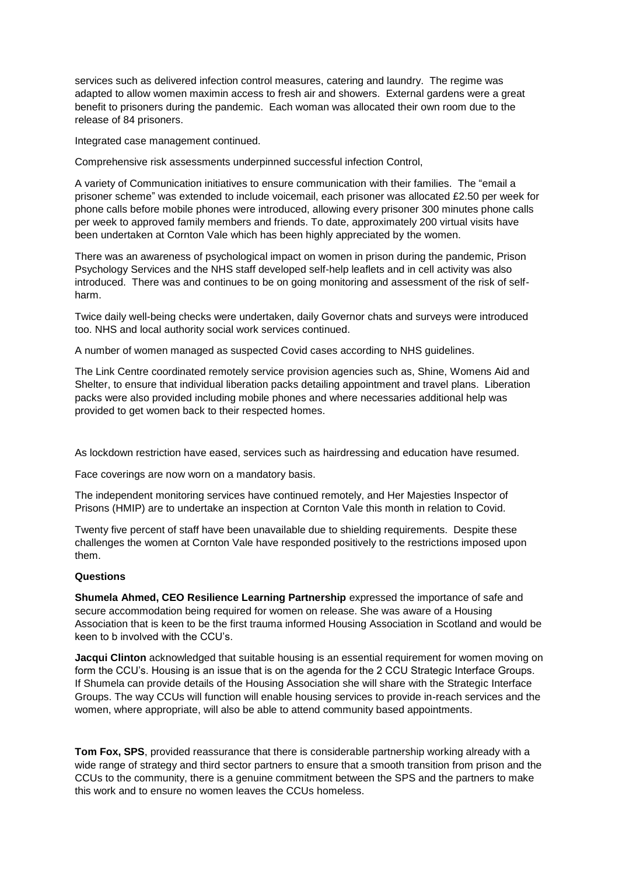services such as delivered infection control measures, catering and laundry. The regime was adapted to allow women maximin access to fresh air and showers. External gardens were a great benefit to prisoners during the pandemic. Each woman was allocated their own room due to the release of 84 prisoners.

Integrated case management continued.

Comprehensive risk assessments underpinned successful infection Control,

A variety of Communication initiatives to ensure communication with their families. The "email a prisoner scheme" was extended to include voicemail, each prisoner was allocated £2.50 per week for phone calls before mobile phones were introduced, allowing every prisoner 300 minutes phone calls per week to approved family members and friends. To date, approximately 200 virtual visits have been undertaken at Cornton Vale which has been highly appreciated by the women.

There was an awareness of psychological impact on women in prison during the pandemic, Prison Psychology Services and the NHS staff developed self-help leaflets and in cell activity was also introduced. There was and continues to be on going monitoring and assessment of the risk of selfharm.

Twice daily well-being checks were undertaken, daily Governor chats and surveys were introduced too. NHS and local authority social work services continued.

A number of women managed as suspected Covid cases according to NHS guidelines.

The Link Centre coordinated remotely service provision agencies such as, Shine, Womens Aid and Shelter, to ensure that individual liberation packs detailing appointment and travel plans. Liberation packs were also provided including mobile phones and where necessaries additional help was provided to get women back to their respected homes.

As lockdown restriction have eased, services such as hairdressing and education have resumed.

Face coverings are now worn on a mandatory basis.

The independent monitoring services have continued remotely, and Her Majesties Inspector of Prisons (HMIP) are to undertake an inspection at Cornton Vale this month in relation to Covid.

Twenty five percent of staff have been unavailable due to shielding requirements. Despite these challenges the women at Cornton Vale have responded positively to the restrictions imposed upon them.

# **Questions**

**Shumela Ahmed, CEO Resilience Learning Partnership** expressed the importance of safe and secure accommodation being required for women on release. She was aware of a Housing Association that is keen to be the first trauma informed Housing Association in Scotland and would be keen to b involved with the CCU's.

**Jacqui Clinton** acknowledged that suitable housing is an essential requirement for women moving on form the CCU's. Housing is an issue that is on the agenda for the 2 CCU Strategic Interface Groups. If Shumela can provide details of the Housing Association she will share with the Strategic Interface Groups. The way CCUs will function will enable housing services to provide in-reach services and the women, where appropriate, will also be able to attend community based appointments.

**Tom Fox, SPS**, provided reassurance that there is considerable partnership working already with a wide range of strategy and third sector partners to ensure that a smooth transition from prison and the CCUs to the community, there is a genuine commitment between the SPS and the partners to make this work and to ensure no women leaves the CCUs homeless.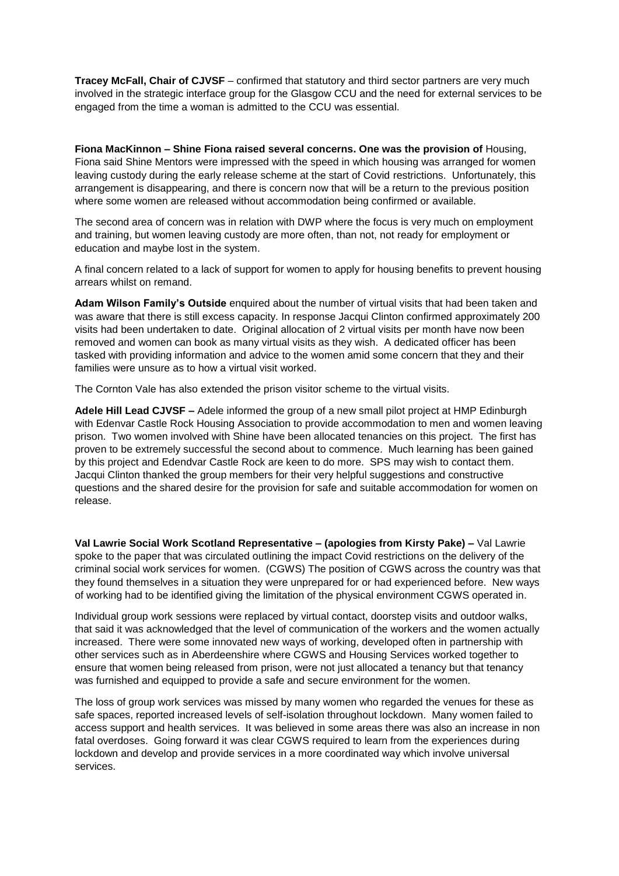**Tracey McFall, Chair of CJVSF** – confirmed that statutory and third sector partners are very much involved in the strategic interface group for the Glasgow CCU and the need for external services to be engaged from the time a woman is admitted to the CCU was essential.

**Fiona MacKinnon – Shine Fiona raised several concerns. One was the provision of** Housing, Fiona said Shine Mentors were impressed with the speed in which housing was arranged for women leaving custody during the early release scheme at the start of Covid restrictions. Unfortunately, this arrangement is disappearing, and there is concern now that will be a return to the previous position where some women are released without accommodation being confirmed or available.

The second area of concern was in relation with DWP where the focus is very much on employment and training, but women leaving custody are more often, than not, not ready for employment or education and maybe lost in the system.

A final concern related to a lack of support for women to apply for housing benefits to prevent housing arrears whilst on remand.

**Adam Wilson Family's Outside** enquired about the number of virtual visits that had been taken and was aware that there is still excess capacity. In response Jacqui Clinton confirmed approximately 200 visits had been undertaken to date. Original allocation of 2 virtual visits per month have now been removed and women can book as many virtual visits as they wish. A dedicated officer has been tasked with providing information and advice to the women amid some concern that they and their families were unsure as to how a virtual visit worked.

The Cornton Vale has also extended the prison visitor scheme to the virtual visits.

**Adele Hill Lead CJVSF –** Adele informed the group of a new small pilot project at HMP Edinburgh with Edenvar Castle Rock Housing Association to provide accommodation to men and women leaving prison. Two women involved with Shine have been allocated tenancies on this project. The first has proven to be extremely successful the second about to commence. Much learning has been gained by this project and Edendvar Castle Rock are keen to do more. SPS may wish to contact them. Jacqui Clinton thanked the group members for their very helpful suggestions and constructive questions and the shared desire for the provision for safe and suitable accommodation for women on release.

**Val Lawrie Social Work Scotland Representative – (apologies from Kirsty Pake) –** Val Lawrie spoke to the paper that was circulated outlining the impact Covid restrictions on the delivery of the criminal social work services for women. (CGWS) The position of CGWS across the country was that they found themselves in a situation they were unprepared for or had experienced before. New ways of working had to be identified giving the limitation of the physical environment CGWS operated in.

Individual group work sessions were replaced by virtual contact, doorstep visits and outdoor walks, that said it was acknowledged that the level of communication of the workers and the women actually increased. There were some innovated new ways of working, developed often in partnership with other services such as in Aberdeenshire where CGWS and Housing Services worked together to ensure that women being released from prison, were not just allocated a tenancy but that tenancy was furnished and equipped to provide a safe and secure environment for the women.

The loss of group work services was missed by many women who regarded the venues for these as safe spaces, reported increased levels of self-isolation throughout lockdown. Many women failed to access support and health services. It was believed in some areas there was also an increase in non fatal overdoses. Going forward it was clear CGWS required to learn from the experiences during lockdown and develop and provide services in a more coordinated way which involve universal services.